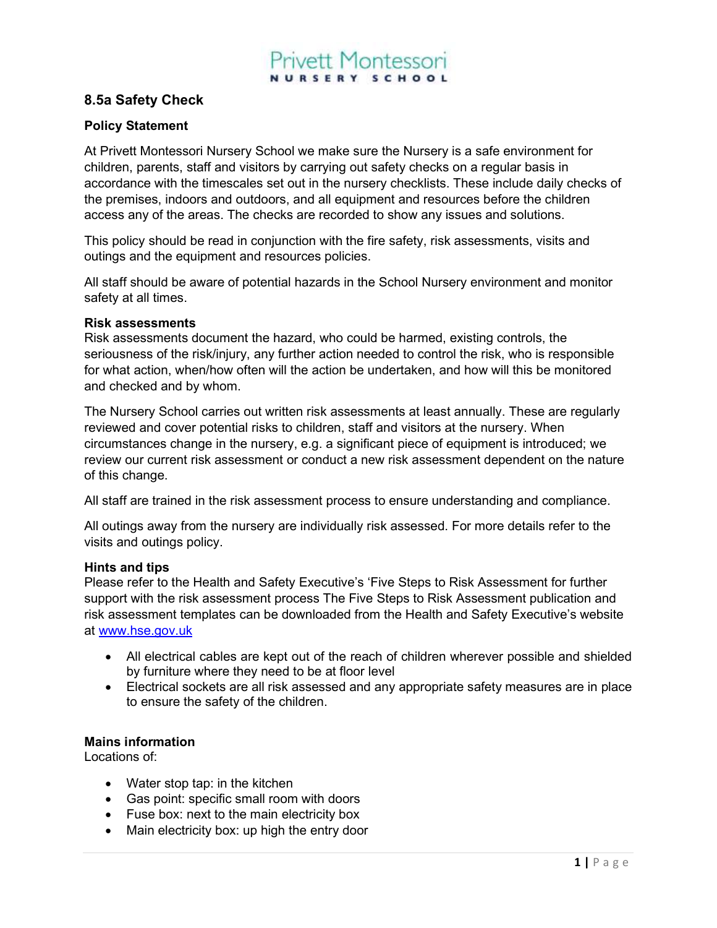## vett Montessori NURSERY SCHOOL

### 8.5a Safety Check

#### Policy Statement

At Privett Montessori Nursery School we make sure the Nursery is a safe environment for children, parents, staff and visitors by carrying out safety checks on a regular basis in accordance with the timescales set out in the nursery checklists. These include daily checks of the premises, indoors and outdoors, and all equipment and resources before the children access any of the areas. The checks are recorded to show any issues and solutions.

This policy should be read in conjunction with the fire safety, risk assessments, visits and outings and the equipment and resources policies.

All staff should be aware of potential hazards in the School Nursery environment and monitor safety at all times.

#### Risk assessments

Risk assessments document the hazard, who could be harmed, existing controls, the seriousness of the risk/injury, any further action needed to control the risk, who is responsible for what action, when/how often will the action be undertaken, and how will this be monitored and checked and by whom.

The Nursery School carries out written risk assessments at least annually. These are regularly reviewed and cover potential risks to children, staff and visitors at the nursery. When circumstances change in the nursery, e.g. a significant piece of equipment is introduced; we review our current risk assessment or conduct a new risk assessment dependent on the nature of this change.

All staff are trained in the risk assessment process to ensure understanding and compliance.

All outings away from the nursery are individually risk assessed. For more details refer to the visits and outings policy.

#### Hints and tips

Please refer to the Health and Safety Executive's 'Five Steps to Risk Assessment for further support with the risk assessment process The Five Steps to Risk Assessment publication and risk assessment templates can be downloaded from the Health and Safety Executive's website at www.hse.gov.uk

- All electrical cables are kept out of the reach of children wherever possible and shielded by furniture where they need to be at floor level
- Electrical sockets are all risk assessed and any appropriate safety measures are in place to ensure the safety of the children.

#### Mains information

Locations of:

- Water stop tap: in the kitchen
- Gas point: specific small room with doors
- Fuse box: next to the main electricity box
- Main electricity box: up high the entry door